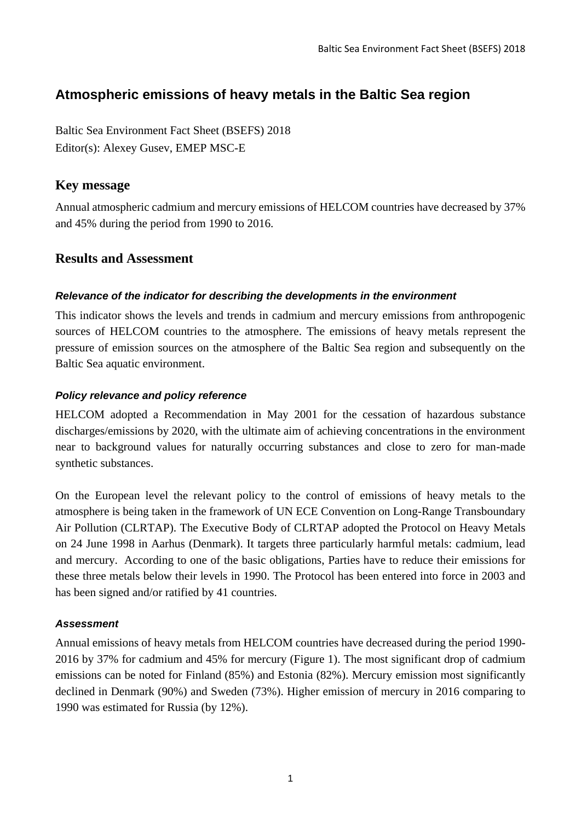# **Atmospheric emissions of heavy metals in the Baltic Sea region**

Baltic Sea Environment Fact Sheet (BSEFS) 2018 Editor(s): Alexey Gusev, EMEP MSC-E

## **Key message**

Annual atmospheric cadmium and mercury emissions of HELCOM countries have decreased by 37% and 45% during the period from 1990 to 2016.

# **Results and Assessment**

#### *Relevance of the indicator for describing the developments in the environment*

This indicator shows the levels and trends in cadmium and mercury emissions from anthropogenic sources of HELCOM countries to the atmosphere. The emissions of heavy metals represent the pressure of emission sources on the atmosphere of the Baltic Sea region and subsequently on the Baltic Sea aquatic environment.

#### *Policy relevance and policy reference*

HELCOM adopted a Recommendation in May 2001 for the cessation of hazardous substance discharges/emissions by 2020, with the ultimate aim of achieving concentrations in the environment near to background values for naturally occurring substances and close to zero for man-made synthetic substances.

On the European level the relevant policy to the control of emissions of heavy metals to the atmosphere is being taken in the framework of UN ECE Convention on Long-Range Transboundary Air Pollution (CLRTAP). The Executive Body of CLRTAP adopted the Protocol on Heavy Metals on 24 June 1998 in Aarhus (Denmark). It targets three particularly harmful metals: cadmium, lead and mercury. According to one of the basic obligations, Parties have to reduce their emissions for these three metals below their levels in 1990. The Protocol has been entered into force in 2003 and has been signed and/or ratified by 41 countries.

### *Assessment*

Annual emissions of heavy metals from HELCOM countries have decreased during the period 1990- 2016 by 37% for cadmium and 45% for mercury (Figure 1). The most significant drop of cadmium emissions can be noted for Finland (85%) and Estonia (82%). Mercury emission most significantly declined in Denmark (90%) and Sweden (73%). Higher emission of mercury in 2016 comparing to 1990 was estimated for Russia (by 12%).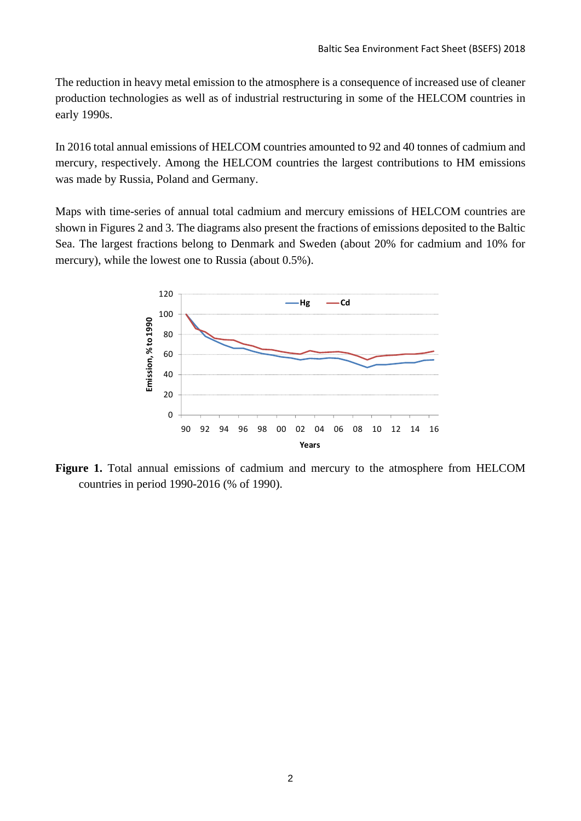The reduction in heavy metal emission to the atmosphere is a consequence of increased use of cleaner production technologies as well as of industrial restructuring in some of the HELCOM countries in early 1990s.

In 2016 total annual emissions of HELCOM countries amounted to 92 and 40 tonnes of cadmium and mercury, respectively. Among the HELCOM countries the largest contributions to HM emissions was made by Russia, Poland and Germany.

Maps with time-series of annual total cadmium and mercury emissions of HELCOM countries are shown in Figures 2 and 3. The diagrams also present the fractions of emissions deposited to the Baltic Sea. The largest fractions belong to Denmark and Sweden (about 20% for cadmium and 10% for mercury), while the lowest one to Russia (about 0.5%).



**Figure 1.** Total annual emissions of cadmium and mercury to the atmosphere from HELCOM countries in period 1990-2016 (% of 1990).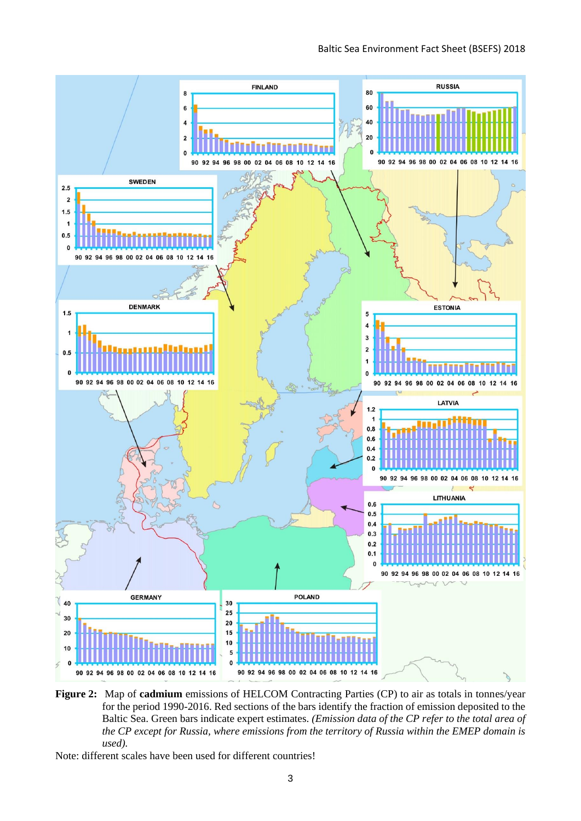

**Figure 2:** Map of **cadmium** emissions of HELCOM Contracting Parties (CP) to air as totals in tonnes/year for the period 1990-2016. Red sections of the bars identify the fraction of emission deposited to the Baltic Sea. Green bars indicate expert estimates. *(Emission data of the CP refer to the total area of the CP except for Russia, where emissions from the territory of Russia within the EMEP domain is used).*

Note: different scales have been used for different countries!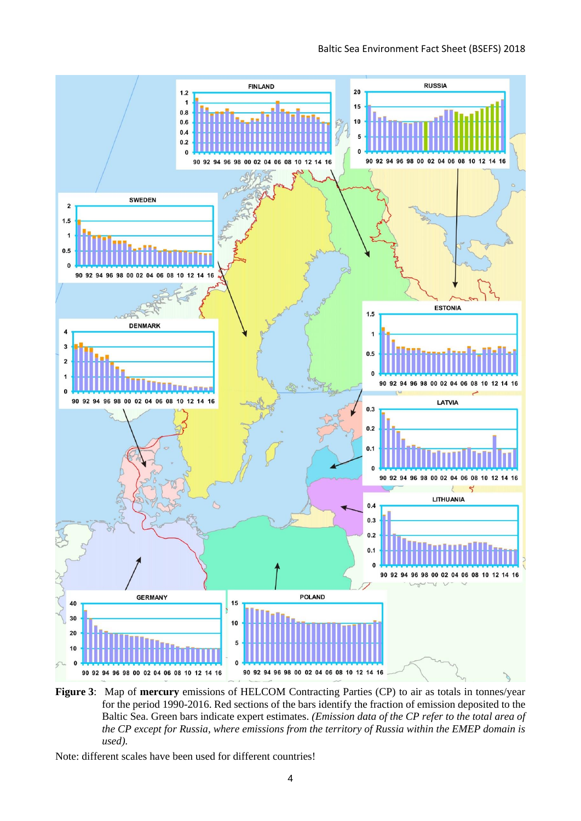

**Figure 3**: Map of **mercury** emissions of HELCOM Contracting Parties (CP) to air as totals in tonnes/year for the period 1990-2016. Red sections of the bars identify the fraction of emission deposited to the Baltic Sea. Green bars indicate expert estimates. *(Emission data of the CP refer to the total area of the CP except for Russia, where emissions from the territory of Russia within the EMEP domain is used).*

Note: different scales have been used for different countries!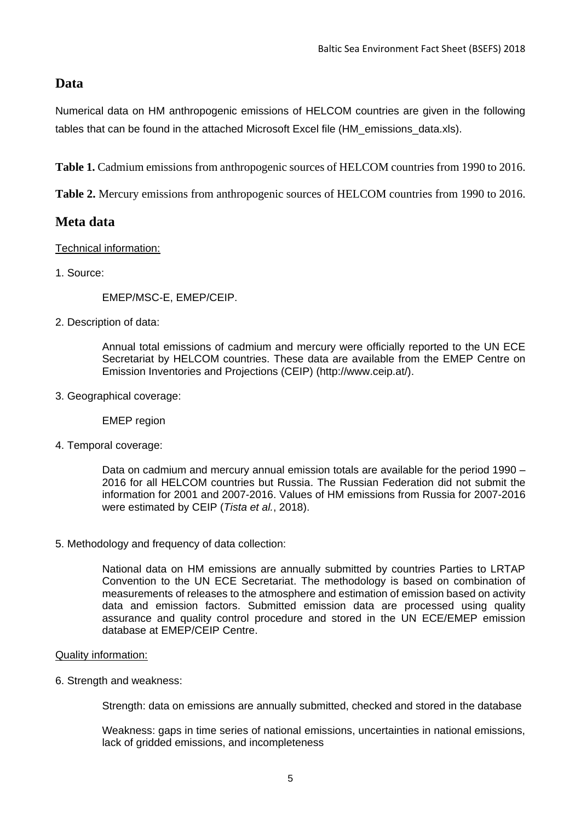# **Data**

Numerical data on HM anthropogenic emissions of HELCOM countries are given in the following tables that can be found in the attached Microsoft Excel file (HM emissions data.xls).

**Table 1.** Cadmium emissions from anthropogenic sources of HELCOM countries from 1990 to 2016.

**Table 2.** Mercury emissions from anthropogenic sources of HELCOM countries from 1990 to 2016.

### **Meta data**

#### Technical information:

1. Source:

EMEP/MSC-E, EMEP/CEIP.

2. Description of data:

Annual total emissions of cadmium and mercury were officially reported to the UN ECE Secretariat by HELCOM countries. These data are available from the EMEP Centre on Emission Inventories and Projections (CEIP) (http://www.ceip.at/).

3. Geographical coverage:

EMEP region

4. Temporal coverage:

Data on cadmium and mercury annual emission totals are available for the period 1990 – 2016 for all HELCOM countries but Russia. The Russian Federation did not submit the information for 2001 and 2007-2016. Values of HM emissions from Russia for 2007-2016 were estimated by CEIP (*Tista et al.*, 2018).

5. Methodology and frequency of data collection:

National data on HM emissions are annually submitted by countries Parties to LRTAP Convention to the UN ECE Secretariat. The methodology is based on combination of measurements of releases to the atmosphere and estimation of emission based on activity data and emission factors. Submitted emission data are processed using quality assurance and quality control procedure and stored in the UN ECE/EMEP emission database at EMEP/CEIP Centre.

#### Quality information:

6. Strength and weakness:

Strength: data on emissions are annually submitted, checked and stored in the database

Weakness: gaps in time series of national emissions, uncertainties in national emissions, lack of gridded emissions, and incompleteness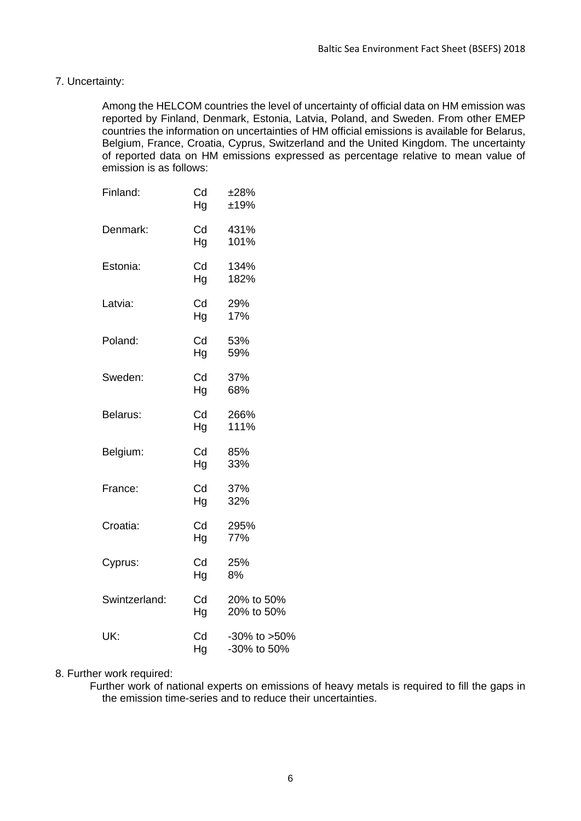#### 7. Uncertainty:

Among the HELCOM countries the level of uncertainty of official data on HM emission was reported by Finland, Denmark, Estonia, Latvia, Poland, and Sweden. From other EMEP countries the information on uncertainties of HM official emissions is available for Belarus, Belgium, France, Croatia, Cyprus, Switzerland and the United Kingdom. The uncertainty of reported data on HM emissions expressed as percentage relative to mean value of emission is as follows:

| Finland:      | Cd<br>Hg | ±28%<br>±19%                |
|---------------|----------|-----------------------------|
| Denmark:      | Cd<br>Hg | 431%<br>101%                |
| Estonia:      | Cd<br>Hg | 134%<br>182%                |
| Latvia:       | Cd<br>Hg | 29%<br>17%                  |
| Poland:       | Cd<br>Hg | 53%<br>59%                  |
| Sweden:       | Cd<br>Hg | 37%<br>68%                  |
| Belarus:      | Cd<br>Hg | 266%<br>111%                |
| Belgium:      | Cd<br>Hg | 85%<br>33%                  |
| France:       | Cd<br>Hg | 37%<br>32%                  |
| Croatia:      | Cd<br>Hg | 295%<br>77%                 |
| Cyprus:       | Cd<br>Hg | 25%<br>8%                   |
| Swintzerland: | Cd<br>Hg | 20% to 50%<br>20% to 50%    |
| UK:           | Cd<br>Ha | -30% to >50%<br>-30% to 50% |

#### 8. Further work required:

Further work of national experts on emissions of heavy metals is required to fill the gaps in the emission time-series and to reduce their uncertainties.